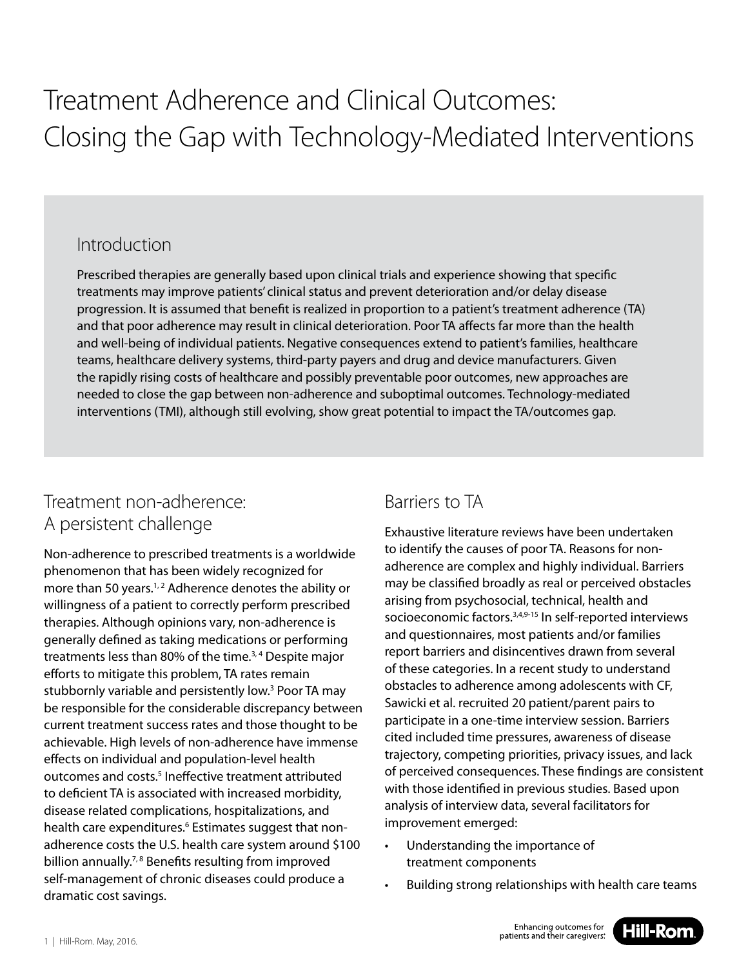# Treatment Adherence and Clinical Outcomes: Closing the Gap with Technology-Mediated Interventions

#### Introduction

Prescribed therapies are generally based upon clinical trials and experience showing that specific treatments may improve patients' clinical status and prevent deterioration and/or delay disease progression. It is assumed that benefit is realized in proportion to a patient's treatment adherence (TA) and that poor adherence may result in clinical deterioration. Poor TA affects far more than the health and well-being of individual patients. Negative consequences extend to patient's families, healthcare teams, healthcare delivery systems, third-party payers and drug and device manufacturers. Given the rapidly rising costs of healthcare and possibly preventable poor outcomes, new approaches are needed to close the gap between non-adherence and suboptimal outcomes. Technology-mediated interventions (TMI), although still evolving, show great potential to impact the TA/outcomes gap.

# Treatment non-adherence: A persistent challenge

Non-adherence to prescribed treatments is a worldwide phenomenon that has been widely recognized for more than 50 years.<sup>1,2</sup> Adherence denotes the ability or willingness of a patient to correctly perform prescribed therapies. Although opinions vary, non-adherence is generally defined as taking medications or performing treatments less than 80% of the time.<sup>3,4</sup> Despite major efforts to mitigate this problem, TA rates remain stubbornly variable and persistently low.<sup>3</sup> Poor TA may be responsible for the considerable discrepancy between current treatment success rates and those thought to be achievable. High levels of non-adherence have immense effects on individual and population-level health outcomes and costs.<sup>5</sup> Ineffective treatment attributed to deficient TA is associated with increased morbidity, disease related complications, hospitalizations, and health care expenditures.<sup>6</sup> Estimates suggest that nonadherence costs the U.S. health care system around \$100 billion annually.<sup>7, 8</sup> Benefits resulting from improved self-management of chronic diseases could produce a dramatic cost savings.

### Barriers to TA

Exhaustive literature reviews have been undertaken to identify the causes of poor TA. Reasons for nonadherence are complex and highly individual. Barriers may be classified broadly as real or perceived obstacles arising from psychosocial, technical, health and socioeconomic factors.<sup>3,4,9-15</sup> In self-reported interviews and questionnaires, most patients and/or families report barriers and disincentives drawn from several of these categories. In a recent study to understand obstacles to adherence among adolescents with CF, Sawicki et al. recruited 20 patient/parent pairs to participate in a one-time interview session. Barriers cited included time pressures, awareness of disease trajectory, competing priorities, privacy issues, and lack of perceived consequences. These findings are consistent with those identified in previous studies. Based upon analysis of interview data, several facilitators for improvement emerged:

- Understanding the importance of treatment components
- Building strong relationships with health care teams

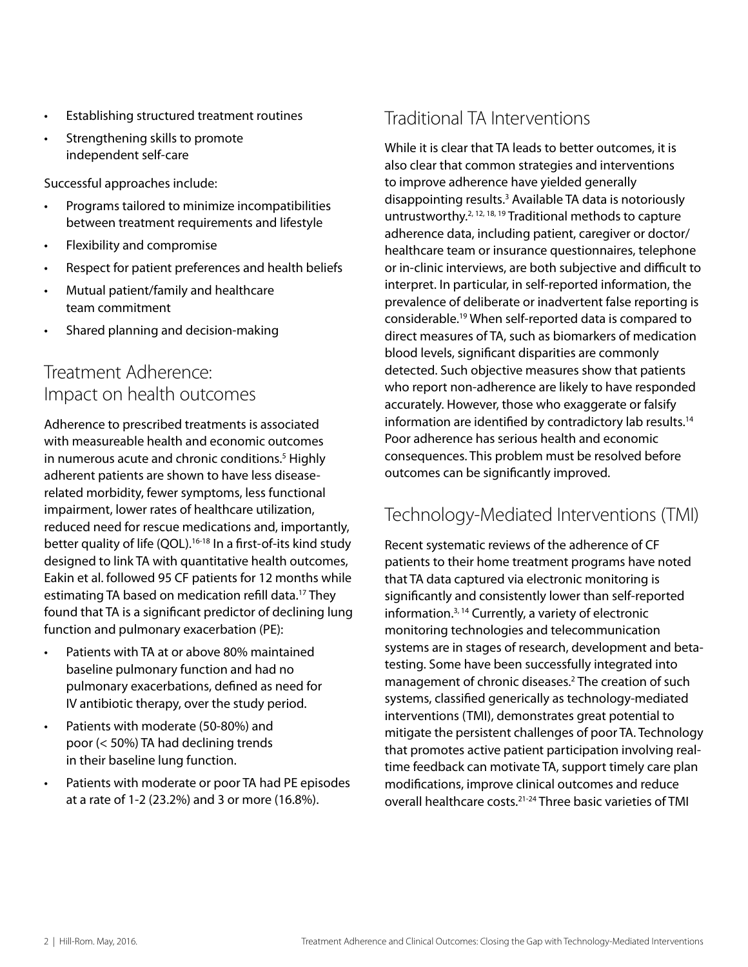- Establishing structured treatment routines
- Strengthening skills to promote independent self-care

Successful approaches include:

- Programs tailored to minimize incompatibilities between treatment requirements and lifestyle
- Flexibility and compromise
- Respect for patient preferences and health beliefs
- Mutual patient/family and healthcare team commitment
- Shared planning and decision-making

# Treatment Adherence: Impact on health outcomes

Adherence to prescribed treatments is associated with measureable health and economic outcomes in numerous acute and chronic conditions.<sup>5</sup> Highly adherent patients are shown to have less diseaserelated morbidity, fewer symptoms, less functional impairment, lower rates of healthcare utilization, reduced need for rescue medications and, importantly, better quality of life (QOL).<sup>16-18</sup> In a first-of-its kind study designed to link TA with quantitative health outcomes, Eakin et al. followed 95 CF patients for 12 months while estimating TA based on medication refill data.17 They found that TA is a significant predictor of declining lung function and pulmonary exacerbation (PE):

- Patients with TA at or above 80% maintained baseline pulmonary function and had no pulmonary exacerbations, defined as need for IV antibiotic therapy, over the study period.
- Patients with moderate (50-80%) and poor (< 50%) TA had declining trends in their baseline lung function.
- Patients with moderate or poor TA had PE episodes at a rate of 1-2 (23.2%) and 3 or more (16.8%).

# Traditional TA Interventions

While it is clear that TA leads to better outcomes, it is also clear that common strategies and interventions to improve adherence have yielded generally disappointing results.3 Available TA data is notoriously untrustworthy.2, 12, 18, 19 Traditional methods to capture adherence data, including patient, caregiver or doctor/ healthcare team or insurance questionnaires, telephone or in-clinic interviews, are both subjective and difficult to interpret. In particular, in self-reported information, the prevalence of deliberate or inadvertent false reporting is considerable.19 When self-reported data is compared to direct measures of TA, such as biomarkers of medication blood levels, significant disparities are commonly detected. Such objective measures show that patients who report non-adherence are likely to have responded accurately. However, those who exaggerate or falsify information are identified by contradictory lab results.<sup>14</sup> Poor adherence has serious health and economic consequences. This problem must be resolved before outcomes can be significantly improved.

### Technology-Mediated Interventions (TMI)

Recent systematic reviews of the adherence of CF patients to their home treatment programs have noted that TA data captured via electronic monitoring is significantly and consistently lower than self-reported information.3, 14 Currently, a variety of electronic monitoring technologies and telecommunication systems are in stages of research, development and betatesting. Some have been successfully integrated into management of chronic diseases.2 The creation of such systems, classified generically as technology-mediated interventions (TMI), demonstrates great potential to mitigate the persistent challenges of poor TA. Technology that promotes active patient participation involving realtime feedback can motivate TA, support timely care plan modifications, improve clinical outcomes and reduce overall healthcare costs.21-24 Three basic varieties of TMI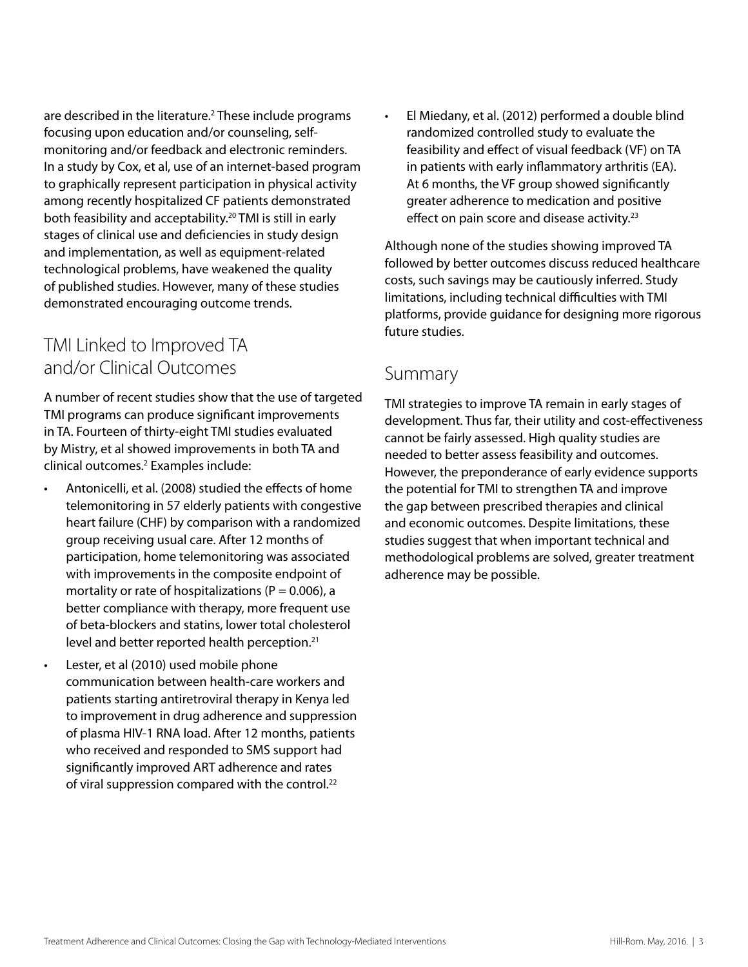are described in the literature.<sup>2</sup> These include programs focusing upon education and/or counseling, selfmonitoring and/or feedback and electronic reminders. In a study by Cox, et al, use of an internet-based program to graphically represent participation in physical activity among recently hospitalized CF patients demonstrated both feasibility and acceptability.<sup>20</sup> TMI is still in early stages of clinical use and deficiencies in study design and implementation, as well as equipment-related technological problems, have weakened the quality of published studies. However, many of these studies demonstrated encouraging outcome trends.

#### TMI Linked to Improved TA and/or Clinical Outcomes

A number of recent studies show that the use of targeted TMI programs can produce significant improvements in TA. Fourteen of thirty-eight TMI studies evaluated by Mistry, et al showed improvements in both TA and clinical outcomes.2 Examples include:

- Antonicelli, et al. (2008) studied the effects of home telemonitoring in 57 elderly patients with congestive heart failure (CHF) by comparison with a randomized group receiving usual care. After 12 months of participation, home telemonitoring was associated with improvements in the composite endpoint of mortality or rate of hospitalizations ( $P = 0.006$ ), a better compliance with therapy, more frequent use of beta-blockers and statins, lower total cholesterol level and better reported health perception.<sup>21</sup>
- Lester, et al (2010) used mobile phone communication between health-care workers and patients starting antiretroviral therapy in Kenya led to improvement in drug adherence and suppression of plasma HIV-1 RNA load. After 12 months, patients who received and responded to SMS support had significantly improved ART adherence and rates of viral suppression compared with the control.<sup>22</sup>

• El Miedany, et al. (2012) performed a double blind randomized controlled study to evaluate the feasibility and effect of visual feedback (VF) on TA in patients with early inflammatory arthritis (EA). At 6 months, the VF group showed significantly greater adherence to medication and positive effect on pain score and disease activity.<sup>23</sup>

Although none of the studies showing improved TA followed by better outcomes discuss reduced healthcare costs, such savings may be cautiously inferred. Study limitations, including technical difficulties with TMI platforms, provide guidance for designing more rigorous future studies.

#### Summary

TMI strategies to improve TA remain in early stages of development. Thus far, their utility and cost-effectiveness cannot be fairly assessed. High quality studies are needed to better assess feasibility and outcomes. However, the preponderance of early evidence supports the potential for TMI to strengthen TA and improve the gap between prescribed therapies and clinical and economic outcomes. Despite limitations, these studies suggest that when important technical and methodological problems are solved, greater treatment adherence may be possible.